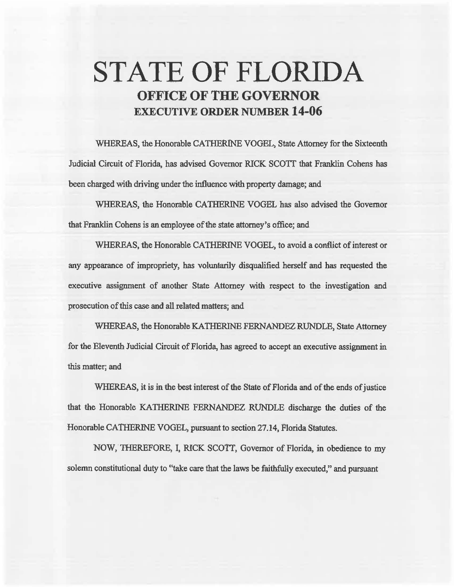# STATE OF FLORIDA OFFICE OF THE GOVERNOR EXECUTIVE ORDER NUMBER 14-06

WHEREAS, the Honorable CATHERINE VOGEL, State Attorney for the Sixteenth Judicial Circuit of Florida, has advised Governor RICK SCOTI that Franklin Cohens has been charged with driving under the influence with property damage; and

WHEREAS, the Honorable CA1HERINE VOGEL has also advised the Governor that Franklin Cohens is an employee of the state attorney's office; and

WHEREAS, the Honorable CATHERINE VOGEL, to avoid a conflict of interest or any appearance of impropriety, has voluntarily disqualified herself and has requested the executive assignment of another State Attorney with respect to the investigation and prosecution of this case and all related matters; and

WHEREAS, the Honorable KATIIERINE FERNANDEZ RUNDLE, State Attorney for the Eleventh Judicial Circuit of Florida, has agreed to accept an executive assignment in this matter; and

WHEREAS, it is in the best interest of the State of Florida and of the ends of justice that the Honorable KATHERINE FERNANDEZ RUNDLE discharge the duties of the Honorable CATHERINE VOGEL, pursuant to section 27.14, Florida Statutes.

NOW, THEREFORE, I, RICK SCOTT, Governor of Florida, in obedience to my solemn constitutional duty to "take care that the laws be faithfully executed," and pursuant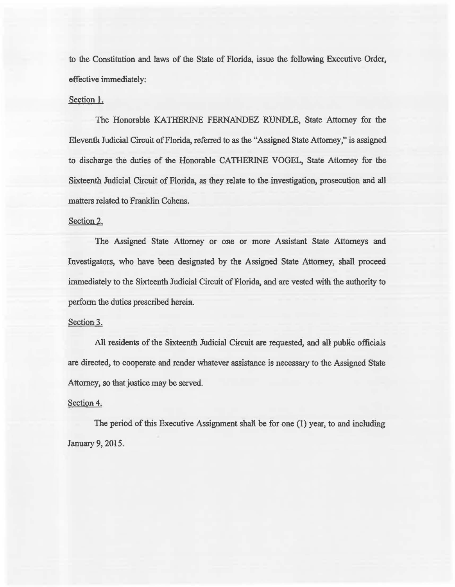to the Constitution and laws of the State of Florida, issue the following Executive Order, effective immediately:

#### Section l.

The Honorable KATHERINE FERNANDEZ RUNDLE, State Attorney for the Eleventh Judicial Circuit of Florida, referred to as the "Assigned State Attorney," is assigned to discharge the duties of the Honorable CATHERINE VOGEL, State Attorney for the Sixteenth Judicial Circuit of Florida, as they relate to the investigation, prosecution and aU matters related to Franklin Cohens.

## Section 2.

The Assigned State Attorney or one or more Assistant State Attorneys and Investigators, who have been designated by the Assigned State Attorney, shall proceed immediately to the Sixteenth Judicial Circuit of Florida, and are vested with the authority to perform the duties prescribed herein.

### Section 3.

AH residents of the Sixteenth Judicial Circuit are requested, and all public officials are directed, to cooperate and render whatever assistance is necessary to the Assigned State Attorney, so that justice may be served.

#### Section 4.

The period of this Executive Assignment shall be for one (1) year, to and including January 9, 2015.